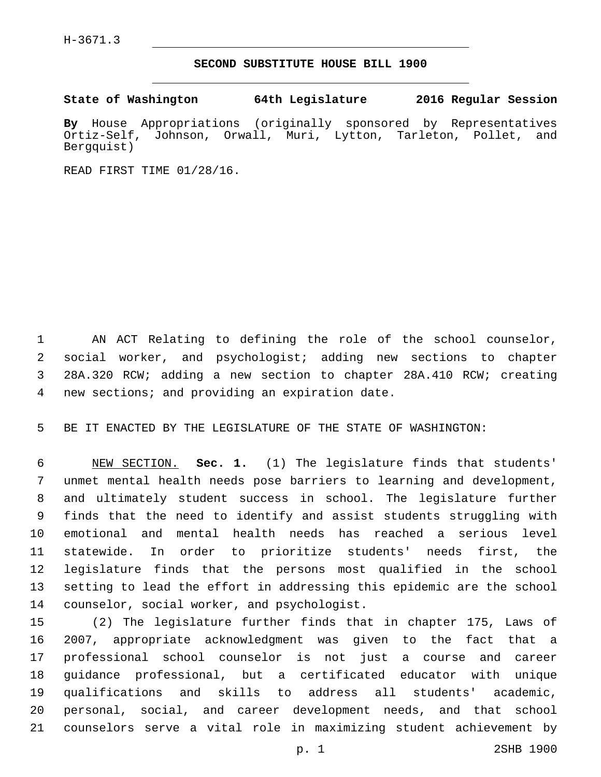H-3671.3

## **SECOND SUBSTITUTE HOUSE BILL 1900**

**State of Washington 64th Legislature 2016 Regular Session**

**By** House Appropriations (originally sponsored by Representatives Ortiz-Self, Johnson, Orwall, Muri, Lytton, Tarleton, Pollet, and Bergquist)

READ FIRST TIME 01/28/16.

 AN ACT Relating to defining the role of the school counselor, social worker, and psychologist; adding new sections to chapter 28A.320 RCW; adding a new section to chapter 28A.410 RCW; creating 4 new sections; and providing an expiration date.

BE IT ENACTED BY THE LEGISLATURE OF THE STATE OF WASHINGTON:

 NEW SECTION. **Sec. 1.** (1) The legislature finds that students' unmet mental health needs pose barriers to learning and development, and ultimately student success in school. The legislature further finds that the need to identify and assist students struggling with emotional and mental health needs has reached a serious level statewide. In order to prioritize students' needs first, the legislature finds that the persons most qualified in the school setting to lead the effort in addressing this epidemic are the school counselor, social worker, and psychologist.

 (2) The legislature further finds that in chapter 175, Laws of 2007, appropriate acknowledgment was given to the fact that a professional school counselor is not just a course and career guidance professional, but a certificated educator with unique qualifications and skills to address all students' academic, personal, social, and career development needs, and that school counselors serve a vital role in maximizing student achievement by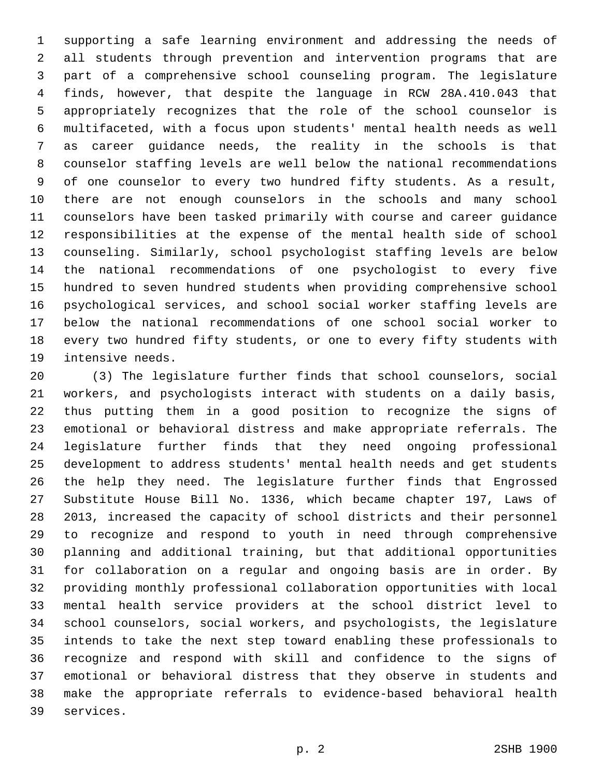supporting a safe learning environment and addressing the needs of all students through prevention and intervention programs that are part of a comprehensive school counseling program. The legislature finds, however, that despite the language in RCW 28A.410.043 that appropriately recognizes that the role of the school counselor is multifaceted, with a focus upon students' mental health needs as well as career guidance needs, the reality in the schools is that counselor staffing levels are well below the national recommendations of one counselor to every two hundred fifty students. As a result, there are not enough counselors in the schools and many school counselors have been tasked primarily with course and career guidance responsibilities at the expense of the mental health side of school counseling. Similarly, school psychologist staffing levels are below the national recommendations of one psychologist to every five hundred to seven hundred students when providing comprehensive school psychological services, and school social worker staffing levels are below the national recommendations of one school social worker to every two hundred fifty students, or one to every fifty students with 19 intensive needs.

 (3) The legislature further finds that school counselors, social workers, and psychologists interact with students on a daily basis, thus putting them in a good position to recognize the signs of emotional or behavioral distress and make appropriate referrals. The legislature further finds that they need ongoing professional development to address students' mental health needs and get students the help they need. The legislature further finds that Engrossed Substitute House Bill No. 1336, which became chapter 197, Laws of 2013, increased the capacity of school districts and their personnel to recognize and respond to youth in need through comprehensive planning and additional training, but that additional opportunities for collaboration on a regular and ongoing basis are in order. By providing monthly professional collaboration opportunities with local mental health service providers at the school district level to school counselors, social workers, and psychologists, the legislature intends to take the next step toward enabling these professionals to recognize and respond with skill and confidence to the signs of emotional or behavioral distress that they observe in students and make the appropriate referrals to evidence-based behavioral health 39 services.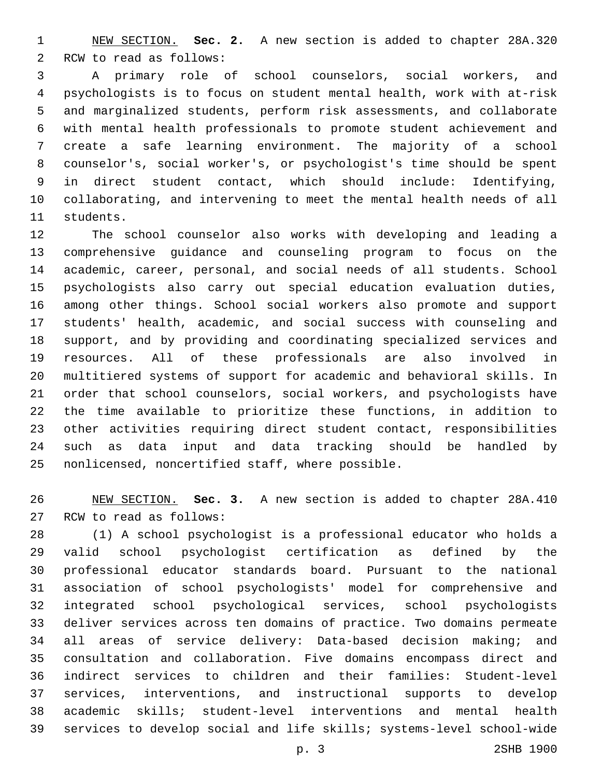NEW SECTION. **Sec. 2.** A new section is added to chapter 28A.320 2 RCW to read as follows:

 A primary role of school counselors, social workers, and psychologists is to focus on student mental health, work with at-risk and marginalized students, perform risk assessments, and collaborate with mental health professionals to promote student achievement and create a safe learning environment. The majority of a school counselor's, social worker's, or psychologist's time should be spent in direct student contact, which should include: Identifying, collaborating, and intervening to meet the mental health needs of all 11 students.

 The school counselor also works with developing and leading a comprehensive guidance and counseling program to focus on the academic, career, personal, and social needs of all students. School psychologists also carry out special education evaluation duties, among other things. School social workers also promote and support students' health, academic, and social success with counseling and support, and by providing and coordinating specialized services and resources. All of these professionals are also involved in multitiered systems of support for academic and behavioral skills. In order that school counselors, social workers, and psychologists have the time available to prioritize these functions, in addition to other activities requiring direct student contact, responsibilities such as data input and data tracking should be handled by 25 nonlicensed, noncertified staff, where possible.

 NEW SECTION. **Sec. 3.** A new section is added to chapter 28A.410 27 RCW to read as follows:

 (1) A school psychologist is a professional educator who holds a valid school psychologist certification as defined by the professional educator standards board. Pursuant to the national association of school psychologists' model for comprehensive and integrated school psychological services, school psychologists deliver services across ten domains of practice. Two domains permeate all areas of service delivery: Data-based decision making; and consultation and collaboration. Five domains encompass direct and indirect services to children and their families: Student-level services, interventions, and instructional supports to develop academic skills; student-level interventions and mental health services to develop social and life skills; systems-level school-wide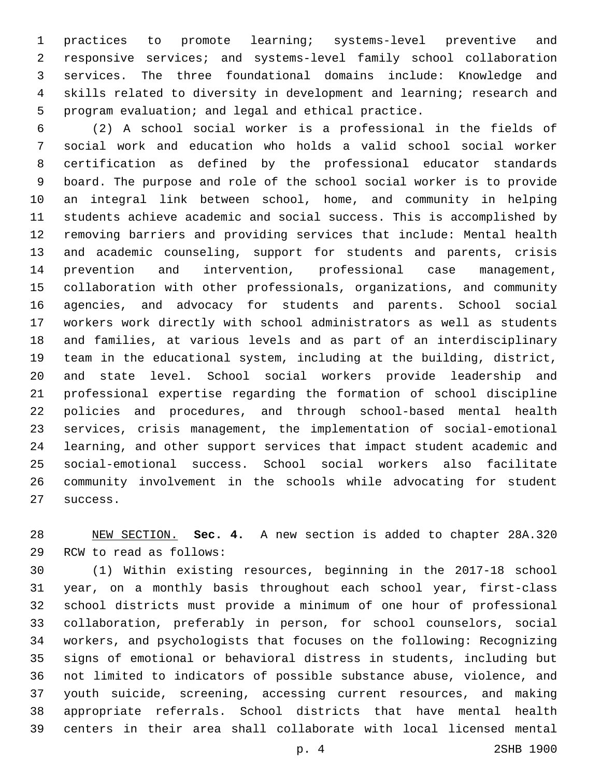practices to promote learning; systems-level preventive and responsive services; and systems-level family school collaboration services. The three foundational domains include: Knowledge and skills related to diversity in development and learning; research and program evaluation; and legal and ethical practice.

 (2) A school social worker is a professional in the fields of social work and education who holds a valid school social worker certification as defined by the professional educator standards board. The purpose and role of the school social worker is to provide an integral link between school, home, and community in helping students achieve academic and social success. This is accomplished by removing barriers and providing services that include: Mental health and academic counseling, support for students and parents, crisis prevention and intervention, professional case management, collaboration with other professionals, organizations, and community agencies, and advocacy for students and parents. School social workers work directly with school administrators as well as students and families, at various levels and as part of an interdisciplinary team in the educational system, including at the building, district, and state level. School social workers provide leadership and professional expertise regarding the formation of school discipline policies and procedures, and through school-based mental health services, crisis management, the implementation of social-emotional learning, and other support services that impact student academic and social-emotional success. School social workers also facilitate community involvement in the schools while advocating for student 27 success.

 NEW SECTION. **Sec. 4.** A new section is added to chapter 28A.320 29 RCW to read as follows:

 (1) Within existing resources, beginning in the 2017-18 school year, on a monthly basis throughout each school year, first-class school districts must provide a minimum of one hour of professional collaboration, preferably in person, for school counselors, social workers, and psychologists that focuses on the following: Recognizing signs of emotional or behavioral distress in students, including but not limited to indicators of possible substance abuse, violence, and youth suicide, screening, accessing current resources, and making appropriate referrals. School districts that have mental health centers in their area shall collaborate with local licensed mental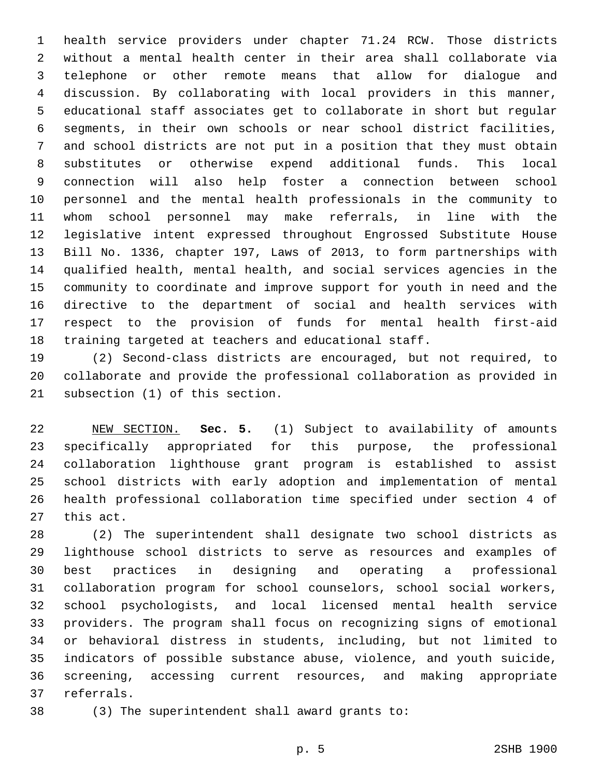health service providers under chapter 71.24 RCW. Those districts without a mental health center in their area shall collaborate via telephone or other remote means that allow for dialogue and discussion. By collaborating with local providers in this manner, educational staff associates get to collaborate in short but regular segments, in their own schools or near school district facilities, and school districts are not put in a position that they must obtain substitutes or otherwise expend additional funds. This local connection will also help foster a connection between school personnel and the mental health professionals in the community to whom school personnel may make referrals, in line with the legislative intent expressed throughout Engrossed Substitute House Bill No. 1336, chapter 197, Laws of 2013, to form partnerships with qualified health, mental health, and social services agencies in the community to coordinate and improve support for youth in need and the directive to the department of social and health services with respect to the provision of funds for mental health first-aid training targeted at teachers and educational staff.

 (2) Second-class districts are encouraged, but not required, to collaborate and provide the professional collaboration as provided in 21 subsection (1) of this section.

 NEW SECTION. **Sec. 5.** (1) Subject to availability of amounts specifically appropriated for this purpose, the professional collaboration lighthouse grant program is established to assist school districts with early adoption and implementation of mental health professional collaboration time specified under section 4 of this act.

 (2) The superintendent shall designate two school districts as lighthouse school districts to serve as resources and examples of best practices in designing and operating a professional collaboration program for school counselors, school social workers, school psychologists, and local licensed mental health service providers. The program shall focus on recognizing signs of emotional or behavioral distress in students, including, but not limited to indicators of possible substance abuse, violence, and youth suicide, screening, accessing current resources, and making appropriate 37 referrals.

38 (3) The superintendent shall award grants to: